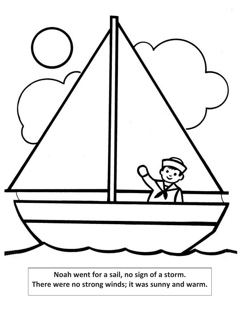

**Noah went for a sail, no sign of a storm. There were no strong winds; it was sunny and warm.**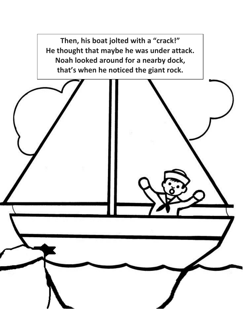**Then, his boat jolted with a "crack!" He thought that maybe he was under attack. Noah looked around for a nearby dock, that's when he noticed the giant rock.**

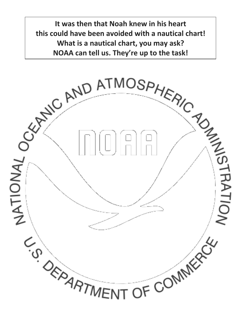**It was then that Noah knew in his heart this could have been avoided with a nautical chart! What is a nautical chart, you may ask? NOAA can tell us. They're up to the task!**

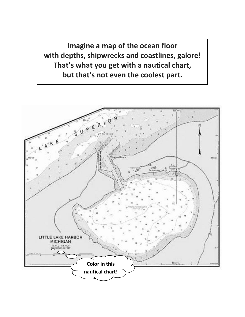**Imagine a map of the ocean floor with depths, shipwrecks and coastlines, galore! That's what you get with a nautical chart, but that's not even the coolest part.**

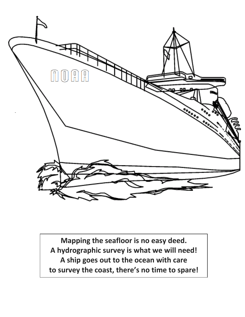

**Mapping the seafloor is no easy deed. A hydrographic survey is what we will need! A ship goes out to the ocean with care to survey the coast, there's no time to spare!**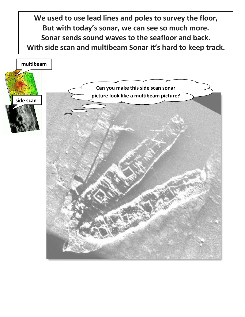**We used to use lead lines and poles to survey the floor, But with today's sonar, we can see so much more. Sonar sends sound waves to the seafloor and back. With side scan and multibeam Sonar it's hard to keep track.**